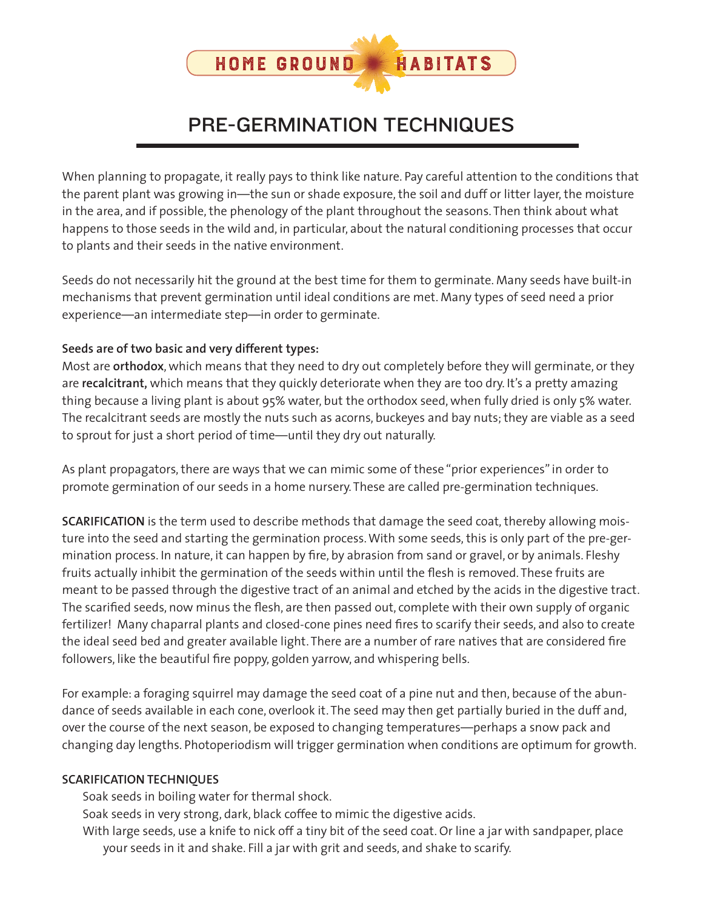

## PRE-GERMINATION TECHNIQUES

When planning to propagate, it really pays to think like nature. Pay careful attention to the conditions that the parent plant was growing in—the sun or shade exposure, the soil and duff or litter layer, the moisture in the area, and if possible, the phenology of the plant throughout the seasons. Then think about what happens to those seeds in the wild and, in particular, about the natural conditioning processes that occur to plants and their seeds in the native environment.

Seeds do not necessarily hit the ground at the best time for them to germinate. Many seeds have built-in mechanisms that prevent germination until ideal conditions are met. Many types of seed need a prior experience—an intermediate step—in order to germinate.

## **Seeds are of two basic and very different types:**

Most are **orthodox**, which means that they need to dry out completely before they will germinate, or they are **recalcitrant,** which means that they quickly deteriorate when they are too dry. It's a pretty amazing thing because a living plant is about 95% water, but the orthodox seed, when fully dried is only 5% water. The recalcitrant seeds are mostly the nuts such as acorns, buckeyes and bay nuts; they are viable as a seed to sprout for just a short period of time—until they dry out naturally.

As plant propagators, there are ways that we can mimic some of these "prior experiences" in order to promote germination of our seeds in a home nursery. These are called pre-germination techniques.

**SCARIFICATION** is the term used to describe methods that damage the seed coat, thereby allowing moisture into the seed and starting the germination process. With some seeds, this is only part of the pre-germination process. In nature, it can happen by fire, by abrasion from sand or gravel, or by animals. Fleshy fruits actually inhibit the germination of the seeds within until the flesh is removed. These fruits are meant to be passed through the digestive tract of an animal and etched by the acids in the digestive tract. The scarified seeds, now minus the flesh, are then passed out, complete with their own supply of organic fertilizer! Many chaparral plants and closed-cone pines need fires to scarify their seeds, and also to create the ideal seed bed and greater available light. There are a number of rare natives that are considered fire followers, like the beautiful fire poppy, golden yarrow, and whispering bells.

For example: a foraging squirrel may damage the seed coat of a pine nut and then, because of the abundance of seeds available in each cone, overlook it. The seed may then get partially buried in the duff and, over the course of the next season, be exposed to changing temperatures—perhaps a snow pack and changing day lengths. Photoperiodism will trigger germination when conditions are optimum for growth.

## **SCARIFICATION TECHNIQUES**

Soak seeds in boiling water for thermal shock.

Soak seeds in very strong, dark, black coffee to mimic the digestive acids.

With large seeds, use a knife to nick off a tiny bit of the seed coat. Or line a jar with sandpaper, place your seeds in it and shake. Fill a jar with grit and seeds, and shake to scarify.